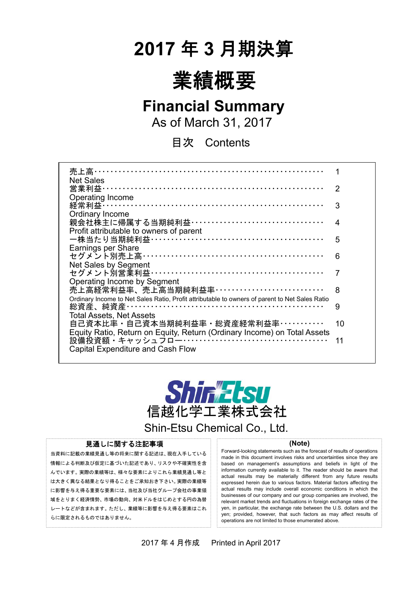# **2017** 年 **3** 月期決算



# **Financial Summary**

As of March 31, 2017

目次 Contents

| 売上高・                                                                                                                                                  |    |
|-------------------------------------------------------------------------------------------------------------------------------------------------------|----|
| <b>Net Sales</b><br>営業利益…………………………………………………………                                                                                                        | 2  |
| Operating Income<br>経常利益 ……………………………………………………………                                                                                                      | 3  |
| Ordinary Income<br>親会社株主に帰属する当期純利益・・・・・・・・・・・・・・・・・・・・・・・・・・・・・・・・・・                                                                                  | 4  |
| Profit attributable to owners of parent                                                                                                               | 5  |
| <b>Earnings per Share</b><br>セグメント別売上高 ………………………………………………                                                                                             | 6  |
| Net Sales by Segment<br>セグメント別営業利益 ……………………………………………                                                                                                  |    |
| Operating Income by Segment<br>売上高経常利益率、売上高当期純利益率・・・・・・・・・・・・・・・・・・・・・・・・・・・                                                                          | 8  |
| Ordinary Income to Net Sales Ratio, Profit attributable to owners of parent to Net Sales Ratio                                                        | 9  |
| <b>Total Assets, Net Assets</b><br>自己資本比率・自己資本当期純利益率・総資産経常利益率・・・・・・・・・・・・<br>Equity Ratio, Return on Equity, Return (Ordinary Income) on Total Assets | 10 |
| <b>Capital Expenditure and Cash Flow</b>                                                                                                              | 11 |
|                                                                                                                                                       |    |



Shin-Etsu Chemical Co., Ltd.

#### 見通しに関する注記事項

当資料に記載の業績見通し等の将来に関する記述は、現在入手している 情報による判断及び仮定に基づいた記述であり、リスクや不確実性を含 んでいます。実際の業績等は、様々な要素によりこれら業績見通し等と は大きく異なる結果となり得ることをご承知おき下さい。実際の業績等 に影響を与え得る重要な要素には、当社及び当社グループ会社の事業領 域をとりまく経済情勢、市場の動向、対米ドルをはじめとする円の為替 レートなどが含まれます。ただし、業績等に影響を与え得る要素はこれ らに限定されるものではありません。

#### **(Note)**

Forward-looking statements such as the forecast of results of operations made in this document involves risks and uncertainties since they are based on management's assumptions and beliefs in light of the information currently available to it. The reader should be aware that actual results may be materially different from any future results expressed herein due to various factors. Material factors affecting the actual results may include overall economic conditions in which the businesses of our company and our group companies are involved, the relevant market trends and fluctuations in foreign exchange rates of the yen, in particular, the exchange rate between the U.S. dollars and the yen; provided, however, that such factors as may affect results of operations are not limited to those enumerated above.

2017 年 4 月作成 Printed in April 2017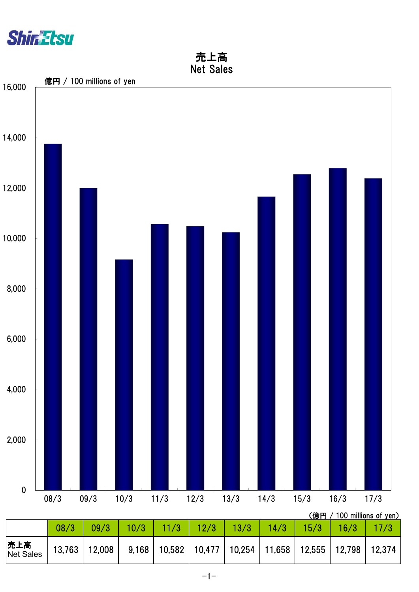

## 売上高 Net Sales

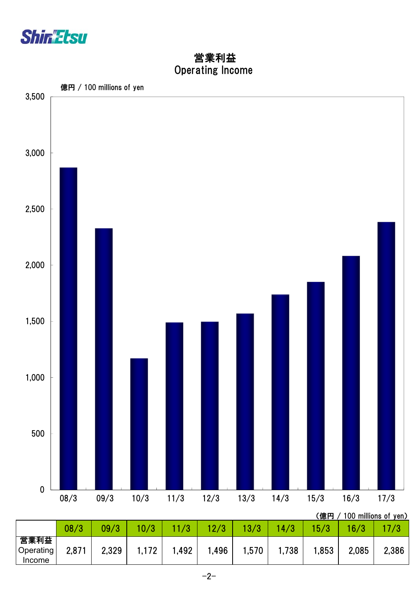

 Operating Income 営業利益

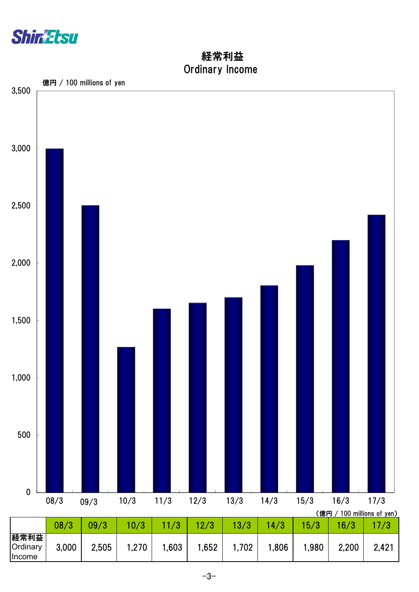

 Ordinary Income 経常利益

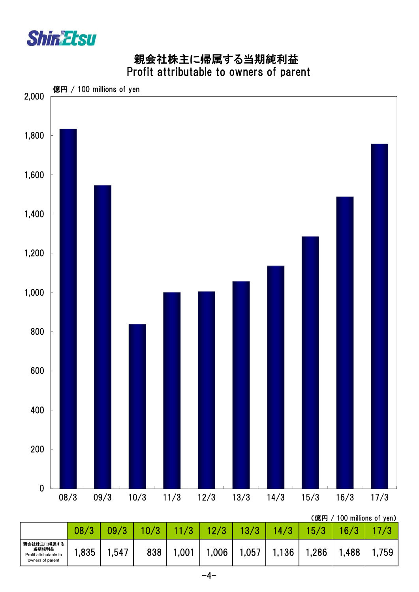

owners of parent

## 親会社株主に帰属する当期純利益 Profit attributable to owners of parent

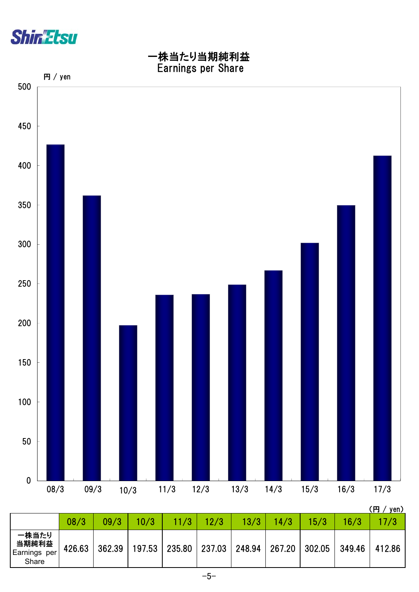



|                                         |        |        |        |               |      |        |        |        |        | \\\J\J\V\\J |
|-----------------------------------------|--------|--------|--------|---------------|------|--------|--------|--------|--------|-------------|
|                                         | 08/3   | 09/3   | 10/3   | 11/3          | 12/3 | 13/3   | 14/3   | 15/3   | 16/3   |             |
| 一株当たり<br>当期純利益<br>Earnings per<br>Share | 426.63 | 362.39 | 197.53 | 235.80 237.03 |      | 248.94 | 267.20 | 302.05 | 349.46 | 412.86      |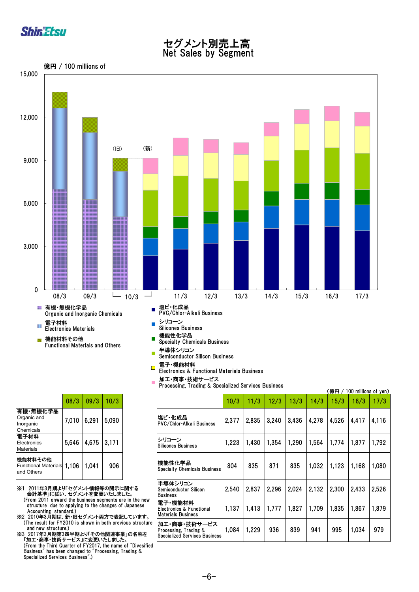

# セグメント別売上高

Net Sales by Segment



|                                                      | 08/3  | 09/3  | 10/3  |
|------------------------------------------------------|-------|-------|-------|
| 有機・無機化学品<br>Organic and<br>Inorganic<br>Chemicals    | 7,010 | 6.291 | 5,090 |
| 電子材料<br>Electronics<br>Materials                     | 5.646 | 4,675 | 3.171 |
| 機能材料その他<br><b>Functional Materials</b><br>and Others | 1.106 | 1,041 | 906   |

※1 2011年3月期より「セグメント情報等の開示に関する 会計基準」に従い、セグメントを変更いたしました。 (From 2011 onward the business segments are in the new structure due to applying to the changes of Japanese Accounting standard.)

※2 2010年3月期は、新・旧セグメント両方で表記しています。 (The result for FY2010 is shown in both previous structure and new structure.)

※3 2017年3月期第3四半期より「その他関連事業」の名称を 「加工・商事・技術サービス」に変更いたしました。 (From the Third Quarter of FY2017, the name of "Divesified Business" has been changed to "Processing, Trading & Specialized Services Business".)

Semiconductor Silicon Business

#### 電子・機能材料  $\blacksquare$

- Electronics & Functional Materials Business
- 加工・商事・技術サービス  $\overline{\phantom{a}}$ Processing, Trading & Specialized Services Business

|                                                                                                                |       |                                                            | Processing, Frauing & Specialized Services Duslifess                    |       |       |       |       |       | (億円 / |       | 100 millions of yen) |
|----------------------------------------------------------------------------------------------------------------|-------|------------------------------------------------------------|-------------------------------------------------------------------------|-------|-------|-------|-------|-------|-------|-------|----------------------|
| 08/3                                                                                                           | 09/3  | 10/3                                                       |                                                                         | 10/3  | 11/3  | 12/3  | 13/3  | 14/3  | 15/3  | 16/3  | 17/3                 |
| 7,010                                                                                                          | 6,291 | 5,090                                                      | 塩ビ・化成品<br>IPVC/Chlor-Alkali Business                                    | 2,377 | 2,835 | 3,240 | 3,436 | 4,278 | 4,526 | 4.417 | 4.116                |
| 5,646                                                                                                          | 4,675 | 3.171                                                      | シリコーン<br><b>Silicones Business</b>                                      | 1,223 | 1,430 | 1,354 | 1.290 | 1,564 | 1.774 | 1.877 | 1,792                |
| 1.106                                                                                                          | 1.041 | 906                                                        | 機能性化学品<br><b>Specialty Chemicals Business</b>                           | 804   | 835   | 871   | 835   | 1.032 | 1.123 | 1,168 | 1.080                |
|                                                                                                                |       | 「セグメント情報等の開示に関する<br>、セグメントを変更いたしました。                       | 半導体シリコン<br>lSemiconductor Silicon<br><b>Business</b>                    | 2,540 | 2,837 | 2,296 | 2.024 | 2,132 | 2,300 | 2.433 | 2.526                |
| d the business segments are in the new<br>applying to the changes of Japanese<br>dard.)<br>新・旧セグメント両方で表記しています。 |       | 電子・機能材料<br>lElectronics & Functional<br>Materials Business | 1,137                                                                   | 1,413 | 1,777 | 1.827 | 1.709 | 1.835 | 1,867 | 1,879 |                      |
| :010 is shown in both previous structure<br>e.)<br>四半期より「その他関連事業」の名称を<br>ト―ビス」に変更いたしました。                       |       |                                                            | 加工・商事・技術サービス <br>Processing, Trading &<br>Specialized Services Business | 1,084 | 1.229 | 936   | 839   | 941   | 995   | 1,034 | 979                  |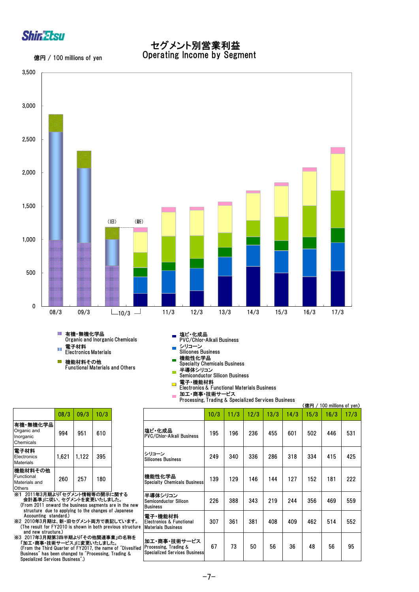

### セグメント別営業利益 Operating Income by Segment

億円 / 100 millions of yen



- 機能材料その他 Functional Materials and Others
- 機能性化学品 Specialty Chemicals Business
- $\overline{\mathcal{C}}$
- 半導体シリコン Semiconductor Silicon Business
- 電子・機能材料<br>Electronics & Functional Materials Business  $\overline{\phantom{a}}$
- 加工・商事・技術サービス  $\overline{\phantom{a}}$
- Processing, Trading & Specialized Services Business

|                                                                                                                                              |       |                                       |                                                                  | Processing, Trading & Specialized Services Business                           |      |      |      |      |      | (億円/ | 100 millions of yen) |      |
|----------------------------------------------------------------------------------------------------------------------------------------------|-------|---------------------------------------|------------------------------------------------------------------|-------------------------------------------------------------------------------|------|------|------|------|------|------|----------------------|------|
| 08/3                                                                                                                                         | 09/3  | 10/3                                  |                                                                  |                                                                               | 10/3 | 11/3 | 12/3 | 13/3 | 14/3 | 15/3 | 16/3                 | 17/3 |
| 994                                                                                                                                          | 951   | 610                                   |                                                                  | 塩ビ・化成品<br><b>PVC/Chlor-Alkali Business</b>                                    | 195  | 196  | 236  | 455  | 601  | 502  | 446                  | 531  |
| 1,621                                                                                                                                        | 1.122 | 395                                   |                                                                  | シリコーン<br><b>Silicones Business</b>                                            | 249  | 340  | 336  | 286  | 318  | 334  | 415                  | 425  |
| 260                                                                                                                                          | 257   | 180                                   |                                                                  | 機能性化学品<br><b>Specialty Chemicals Business</b>                                 | 139  | 129  | 146  | 144  | 127  | 152  | 181                  | 222  |
| り「セグメント情報等の開示に関する<br>ヽ、セグメントを変更いたしました。<br>rd the business segments are in the new                                                            |       | p applying to the changes of Japanese | 半導体シリコン<br>Semiconductor Silicon<br><b>Business</b>              | 226                                                                           | 388  | 343  | 219  | 244  | 356  | 469  | 559                  |      |
| ndard.)<br>re.)                                                                                                                              |       |                                       | 、新・旧セグメント両方で表記しています。<br>2010 is shown in both previous structure | 電子·機能材料<br>Electronics & Functional<br><b>Materials Business</b>              | 307  | 361  | 381  | 408  | 409  | 462  | 514                  | 552  |
| 3四半期より「その他関連事業」の名称を<br>サービス」に変更いたしました。<br>uarter of FY2017, the name of "Divesified<br>n changed to "Processing, Trading &<br>on Runingen" \ |       |                                       |                                                                  | 加工・商事・技術サービス<br>Processing, Trading &<br><b>Specialized Services Business</b> | 67   | 73   | 50   | 56   | 36   | 48   | 56                   | 95   |

|                                                    | 08/3  | 09/3  | 10/3 |
|----------------------------------------------------|-------|-------|------|
| 有機・無機化学品 <br>Organic and<br>Inorganic<br>Chemicals | 994   | 951   | 610  |
| <b> 電子材料</b><br>Electronics<br>Materials           | 1,621 | 1.122 | 395  |
| 機能材料その他<br>Functional<br>Materials and<br>Others   | 260   | 257   | 180  |

※1 2011年3月期より「セグメント情報等の開示に関する 会計基準」に従い、セグメントを変更いたしました。 (From 2011 onward the business segments are in the new structure due to applying to the changes of Japanese<br>Accounting standard.)<br>※2 2010年3月期は、新・旧セグメント両方で表記しています。

(The result for FY2010 is shown in both previous structure

 and new structure.) ※3 2017年3月期第3四半期より「その他関連事業」の名称を 「加工・商事・技術サービス」に変更いたしました。 (From the Third Quarter of FY2017, the name of "Divesified Business" has been changed to "Processing, Trading & Specialized Services Business".)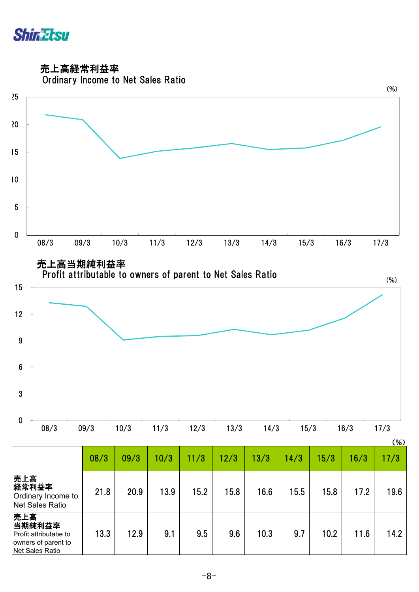

売上高経常利益率



|                                                                                         |      |      |      |      |      |      |      |      |      | $(\% )$ |
|-----------------------------------------------------------------------------------------|------|------|------|------|------|------|------|------|------|---------|
|                                                                                         | 08/3 | 09/3 | 10/3 | 11/3 | 12/3 | 13/3 | 14/3 | 15/3 | 16/3 | 17/3    |
| 売上高<br>経常利益率<br>Ordinary Income to<br><b>Net Sales Ratio</b>                            | 21.8 | 20.9 | 13.9 | 15.2 | 15.8 | 16.6 | 15.5 | 15.8 | 17.2 | 19.6    |
| 売上高<br>当期純利益率<br>Profit attributabe to<br>owners of parent to<br><b>Net Sales Ratio</b> | 13.3 | 12.9 | 9.1  | 9.5  | 9.6  | 10.3 | 9.7  | 10.2 | 11.6 | 14.2    |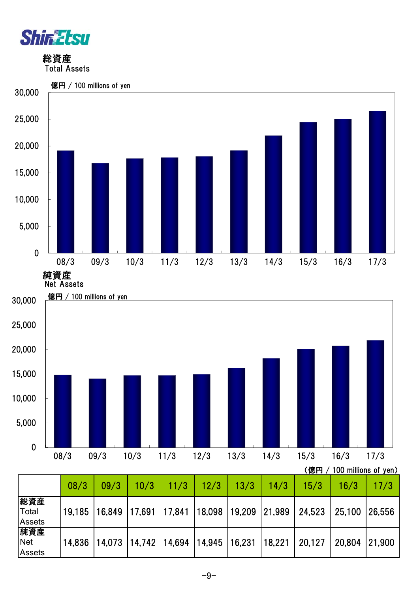

 総資産 Total Assets



|                               | 08/3   | 09/3                                     | 10/3 | 11/3 | 12/3 | 13/3 | 14/3   | 15/3   | 16/3   | 17/3   |
|-------------------------------|--------|------------------------------------------|------|------|------|------|--------|--------|--------|--------|
| 総資産<br>Total<br><b>Assets</b> | 19,185 | 16,849 17,691 17,841 18,098 19,209       |      |      |      |      | 21,989 | 24,523 | 25,100 | 26,556 |
| 純資産<br><b>Net</b><br>Assets   | 14.836 | $14,073$  14,742  14,694  14,945  16,231 |      |      |      |      | 18,221 | 20,127 | 20,804 | 21,900 |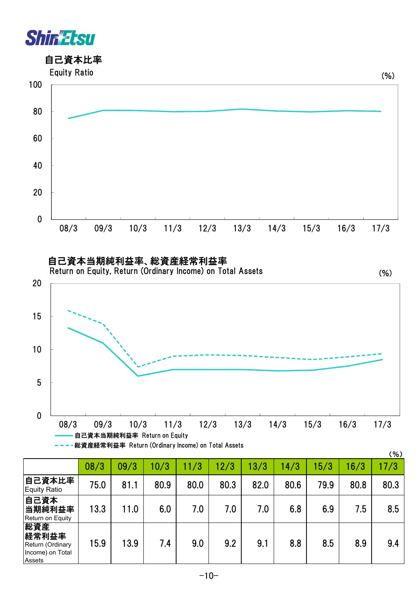

## 自己資本比率



 自己資本当期純利益率、総資産経常利益率 Return on Equity, Return (Ordinary Income) on Total Assets

(%)



|                                                                |      |      |      |      |      |      |      |      |      | (% ) |
|----------------------------------------------------------------|------|------|------|------|------|------|------|------|------|------|
|                                                                | 08/3 | 09/3 | 10/3 | 11/3 | 12/3 | 13/3 | 14/3 | 15/3 | 16/3 | 17/3 |
| 自己資本比率<br><b>Equity Ratio</b>                                  | 75.0 | 81.1 | 80.9 | 80.0 | 80.3 | 82.0 | 80.6 | 79.9 | 80.8 | 80.3 |
| 自己資本<br>当期純利益率<br>Return on Equity                             | 13.3 | 11.0 | 6.0  | 7.0  | 7.0  | 7.0  | 6.8  | 6.9  | 7.5  | 8.5  |
| 総資産<br>経常利益率<br>Return (Ordinary<br>Income) on Total<br>Assets | 15.9 | 13.9 | 7.4  | 9.0  | 9.2  | 9.1  | 8.8  | 8.5  | 8.9  | 9.4  |